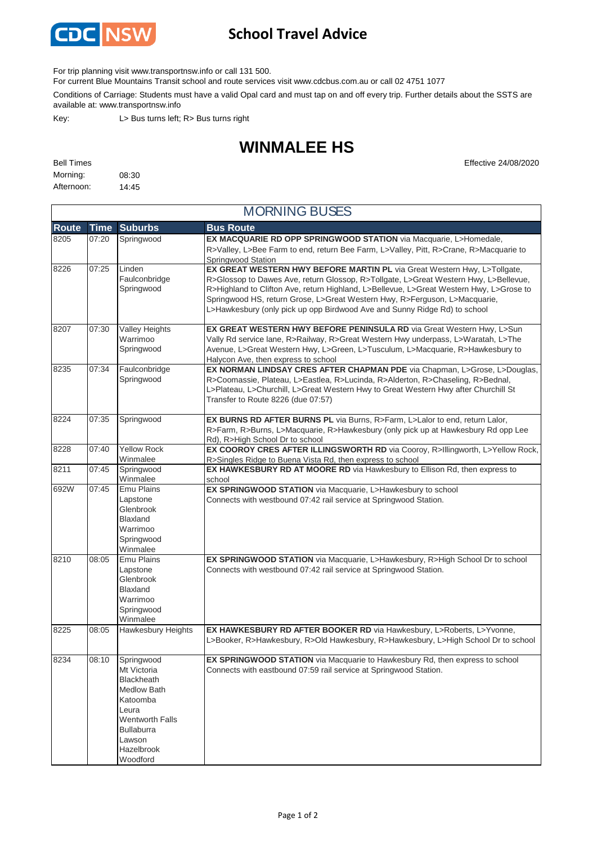

## **School Travel Advice**

For trip planning visit www.transportnsw.info or call 131 500.

For current Blue Mountains Transit school and route services visit www.cdcbus.com.au or call 02 4751 1077

Conditions of Carriage: Students must have a valid Opal card and must tap on and off every trip. Further details about the SSTS are available at: www.transportnsw.info

Key: L> Bus turns left; R> Bus turns right

## **WINMALEE HS**

MORNING BUSES

| <b>Bell Times</b> |       |
|-------------------|-------|
| Morning:          | 08:30 |
| Afternoon:        | 14:45 |

Effective 24/08/2020

| <b>MORNING BUSES</b> |             |                                                                                                                                                                |                                                                                                                                                                                                                                                                                                                                                                                                                        |  |  |
|----------------------|-------------|----------------------------------------------------------------------------------------------------------------------------------------------------------------|------------------------------------------------------------------------------------------------------------------------------------------------------------------------------------------------------------------------------------------------------------------------------------------------------------------------------------------------------------------------------------------------------------------------|--|--|
| <b>Route</b>         | <b>Time</b> | <b>Suburbs</b>                                                                                                                                                 | <b>Bus Route</b>                                                                                                                                                                                                                                                                                                                                                                                                       |  |  |
| 8205                 | 07:20       | Springwood                                                                                                                                                     | EX MACQUARIE RD OPP SPRINGWOOD STATION via Macquarie, L>Homedale,<br>R>Valley, L>Bee Farm to end, return Bee Farm, L>Valley, Pitt, R>Crane, R>Macquarie to<br>Springwood Station                                                                                                                                                                                                                                       |  |  |
| 8226                 | 07:25       | Linden<br>Faulconbridge<br>Springwood                                                                                                                          | EX GREAT WESTERN HWY BEFORE MARTIN PL via Great Western Hwy, L>Tollgate,<br>R>Glossop to Dawes Ave, return Glossop, R>Tollgate, L>Great Western Hwy, L>Bellevue,<br>R>Highland to Clifton Ave, return Highland, L>Bellevue, L>Great Western Hwy, L>Grose to<br>Springwood HS, return Grose, L>Great Western Hwy, R>Ferguson, L>Macquarie,<br>L>Hawkesbury (only pick up opp Birdwood Ave and Sunny Ridge Rd) to school |  |  |
| 8207                 | 07:30       | <b>Valley Heights</b><br>Warrimoo<br>Springwood                                                                                                                | EX GREAT WESTERN HWY BEFORE PENINSULA RD via Great Western Hwy, L>Sun<br>Vally Rd service lane, R>Railway, R>Great Western Hwy underpass, L>Waratah, L>The<br>Avenue, L>Great Western Hwy, L>Green, L>Tusculum, L>Macquarie, R>Hawkesbury to<br>Halycon Ave, then express to school                                                                                                                                    |  |  |
| 8235                 | 07:34       | Faulconbridge<br>Springwood                                                                                                                                    | EX NORMAN LINDSAY CRES AFTER CHAPMAN PDE via Chapman, L>Grose, L>Douglas,<br>R>Coomassie, Plateau, L>Eastlea, R>Lucinda, R>Alderton, R>Chaseling, R>Bednal,<br>L>Plateau, L>Churchill, L>Great Western Hwy to Great Western Hwy after Churchill St<br>Transfer to Route 8226 (due 07:57)                                                                                                                               |  |  |
| 8224                 | 07:35       | Springwood                                                                                                                                                     | EX BURNS RD AFTER BURNS PL via Burns, R>Farm, L>Lalor to end, return Lalor,<br>R>Farm, R>Burns, L>Macquarie, R>Hawkesbury (only pick up at Hawkesbury Rd opp Lee<br>Rd), R>High School Dr to school                                                                                                                                                                                                                    |  |  |
| 8228                 | 07:40       | <b>Yellow Rock</b><br>Winmalee                                                                                                                                 | EX COOROY CRES AFTER ILLINGSWORTH RD via Cooroy, R>Illingworth, L>Yellow Rock,<br>R>Singles Ridge to Buena Vista Rd, then express to school                                                                                                                                                                                                                                                                            |  |  |
| 8211                 | 07:45       | Springwood<br>Winmalee                                                                                                                                         | EX HAWKESBURY RD AT MOORE RD via Hawkesbury to Ellison Rd, then express to<br>school                                                                                                                                                                                                                                                                                                                                   |  |  |
| 692W                 | 07:45       | <b>Emu Plains</b><br>Lapstone<br>Glenbrook<br><b>Blaxland</b><br>Warrimoo<br>Springwood<br>Winmalee                                                            | EX SPRINGWOOD STATION via Macquarie, L>Hawkesbury to school<br>Connects with westbound 07:42 rail service at Springwood Station.                                                                                                                                                                                                                                                                                       |  |  |
| 8210                 | 08:05       | <b>Emu Plains</b><br>Lapstone<br>Glenbrook<br><b>Blaxland</b><br>Warrimoo<br>Springwood<br>Winmalee                                                            | EX SPRINGWOOD STATION via Macquarie, L>Hawkesbury, R>High School Dr to school<br>Connects with westbound 07:42 rail service at Springwood Station.                                                                                                                                                                                                                                                                     |  |  |
| 8225                 | 08:05       | Hawkesbury Heights                                                                                                                                             | EX HAWKESBURY RD AFTER BOOKER RD via Hawkesbury, L>Roberts, L>Yvonne,<br>L>Booker, R>Hawkesbury, R>Old Hawkesbury, R>Hawkesbury, L>High School Dr to school                                                                                                                                                                                                                                                            |  |  |
| 8234                 | 08:10       | Springwood<br>Mt Victoria<br>Blackheath<br>Medlow Bath<br>Katoomba<br>Leura<br><b>Wentworth Falls</b><br><b>Bullaburra</b><br>Lawson<br>Hazelbrook<br>Woodford | EX SPRINGWOOD STATION via Macquarie to Hawkesbury Rd, then express to school<br>Connects with eastbound 07:59 rail service at Springwood Station.                                                                                                                                                                                                                                                                      |  |  |